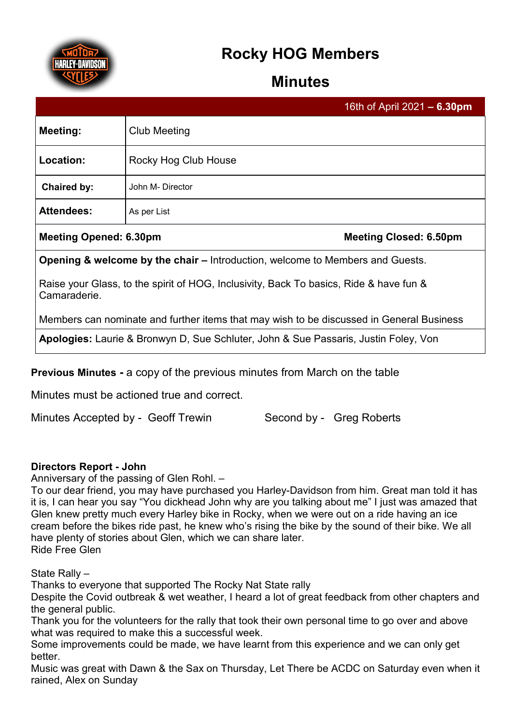

# **Rocky HOG Members**

## **Minutes**

|                     |                      | 16th of April 2021 - 6.30pm |
|---------------------|----------------------|-----------------------------|
| <b>Meeting:</b>     | <b>Club Meeting</b>  |                             |
| Location:           | Rocky Hog Club House |                             |
| Chaired by:         | John M- Director     |                             |
| <b>Attendees:</b>   | As per List          |                             |
| .<br>-- - - - - - - |                      |                             |

## **Meeting Opened: 6.30pm Meeting Closed: 6.50pm**

**Opening & welcome by the chair –** Introduction, welcome to Members and Guests.

Raise your Glass, to the spirit of HOG, Inclusivity, Back To basics, Ride & have fun & Camaraderie.

Members can nominate and further items that may wish to be discussed in General Business

**Apologies:** Laurie & Bronwyn D, Sue Schluter, John & Sue Passaris, Justin Foley, Von

**Previous Minutes -** a copy of the previous minutes from March on the table

Minutes must be actioned true and correct.

Minutes Accepted by - Geoff Trewin Second by - Greg Roberts

## **Directors Report - John**

Anniversary of the passing of Glen Rohl. –

To our dear friend, you may have purchased you Harley-Davidson from him. Great man told it has it is, I can hear you say "You dickhead John why are you talking about me" I just was amazed that Glen knew pretty much every Harley bike in Rocky, when we were out on a ride having an ice cream before the bikes ride past, he knew who's rising the bike by the sound of their bike. We all have plenty of stories about Glen, which we can share later. Ride Free Glen

State Rally –

Thanks to everyone that supported The Rocky Nat State rally

Despite the Covid outbreak & wet weather, I heard a lot of great feedback from other chapters and the general public.

Thank you for the volunteers for the rally that took their own personal time to go over and above what was required to make this a successful week.

Some improvements could be made, we have learnt from this experience and we can only get better.

Music was great with Dawn & the Sax on Thursday, Let There be ACDC on Saturday even when it rained, Alex on Sunday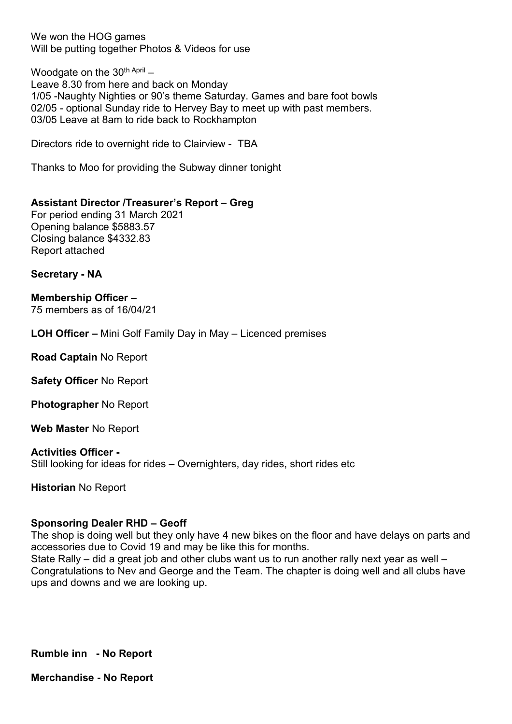We won the HOG games Will be putting together Photos & Videos for use

Woodgate on the  $30<sup>th April</sup>$  – Leave 8.30 from here and back on Monday 1/05 -Naughty Nighties or 90's theme Saturday. Games and bare foot bowls 02/05 - optional Sunday ride to Hervey Bay to meet up with past members. 03/05 Leave at 8am to ride back to Rockhampton

Directors ride to overnight ride to Clairview - TBA

Thanks to Moo for providing the Subway dinner tonight

#### **Assistant Director /Treasurer's Report – Greg**

For period ending 31 March 2021 Opening balance \$5883.57 Closing balance \$4332.83 Report attached

**Secretary - NA** 

**Membership Officer –** 75 members as of 16/04/21

**LOH Officer –** Mini Golf Family Day in May – Licenced premises

**Road Captain** No Report

**Safety Officer** No Report

**Photographer** No Report

**Web Master** No Report

#### **Activities Officer -**

Still looking for ideas for rides – Overnighters, day rides, short rides etc

**Historian** No Report

#### **Sponsoring Dealer RHD – Geoff**

The shop is doing well but they only have 4 new bikes on the floor and have delays on parts and accessories due to Covid 19 and may be like this for months.

State Rally – did a great job and other clubs want us to run another rally next year as well – Congratulations to Nev and George and the Team. The chapter is doing well and all clubs have ups and downs and we are looking up.

**Rumble inn - No Report**

**Merchandise - No Report**